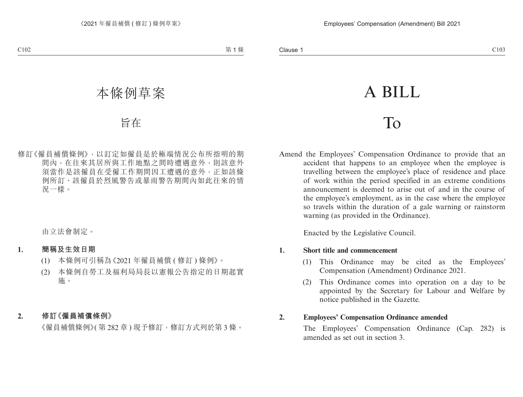# A BILL

## To

Amend the Employees' Compensation Ordinance to provide that an accident that happens to an employee when the employee is travelling between the employee's place of residence and place of work within the period specified in an extreme conditions announcement is deemed to arise out of and in the course of the employee's employment, as in the case where the employee so travels within the duration of a gale warning or rainstorm warning (as provided in the Ordinance).

Enacted by the Legislative Council.

#### **1. Short title and commencement**

- (1) This Ordinance may be cited as the Employees' Compensation (Amendment) Ordinance 2021.
- (2) This Ordinance comes into operation on a day to be appointed by the Secretary for Labour and Welfare by notice published in the Gazette.

#### **2. Employees' Compensation Ordinance amended**

The Employees' Compensation Ordinance (Cap. 282) is amended as set out in section 3.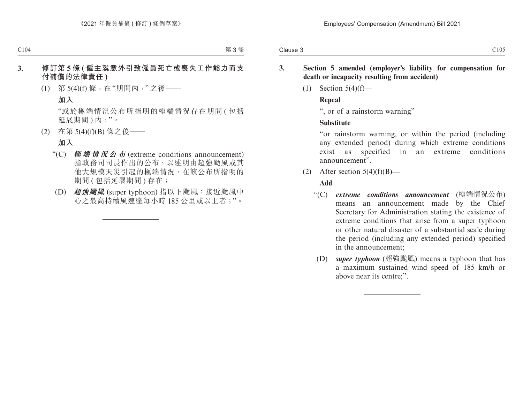- **3. Section 5 amended (employer's liability for compensation for death or incapacity resulting from accident)**
	- (1) Section 5(4)(f)—

#### **Repeal**

", or of a rainstorm warning"

### **Substitute**

"or rainstorm warning, or within the period (including any extended period) during which extreme conditions exist as specified in an extreme conditions announcement".

(2) After section  $5(4)(f)(B)$ —

### **Add**

- "(C) *extreme conditions announcement* (極端情況公布) means an announcement made by the Chief Secretary for Administration stating the existence of extreme conditions that arise from a super typhoon or other natural disaster of a substantial scale during the period (including any extended period) specified in the announcement;
- (D) *super typhoon* (超強颱風) means a typhoon that has a maximum sustained wind speed of 185 km/h or above near its centre;".